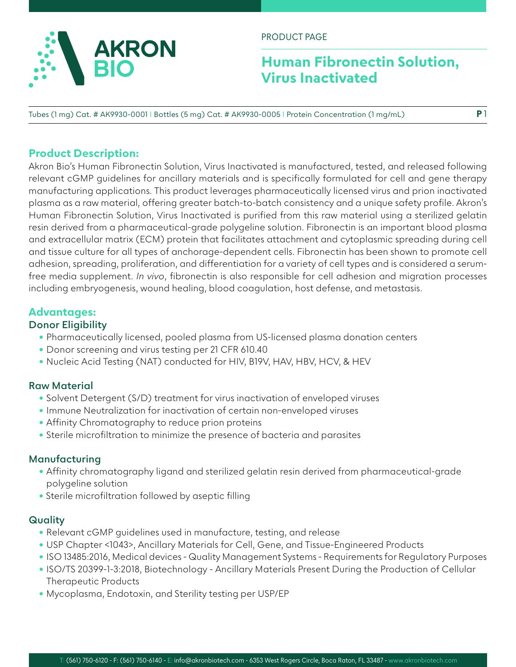

PRODUCT PAGE

## **Human Fibronectin Solution, Virus Inactivated**

**P** 1

Tubes (1 mg) Cat. # AK9930-0001 I Bottles (5 mg) Cat. # AK9930-0005 I Protein Concentration (1 mg/mL)

#### **Product Description:**

Akron Bio's Human Fibronectin Solution, Virus Inactivated is manufactured, tested, and released following relevant cGMP guidelines for ancillary materials and is specifically formulated for cell and gene therapy manufacturing applications. This product leverages pharmaceutically licensed virus and prion inactivated plasma as a raw material, offering greater batch-to-batch consistency and a unique safety profile. Akron's Human Fibronectin Solution, Virus Inactivated is purified from this raw material using a sterilized gelatin resin derived from a pharmaceutical-grade polygeline solution. Fibronectin is an important blood plasma and extracellular matrix (ECM) protein that facilitates attachment and cytoplasmic spreading during cell and tissue culture for all types of anchorage-dependent cells. Fibronectin has been shown to promote cell adhesion, spreading, proliferation, and differentiation for a variety of cell types and is considered a serumfree media supplement. *In vivo*, fibronectin is also responsible for cell adhesion and migration processes including embryogenesis, wound healing, blood coagulation, host defense, and metastasis.

#### **Advantages:**

#### **Donor Eligibility**

- Pharmaceutically licensed, pooled plasma from US-licensed plasma donation centers
- Donor screening and virus testing per 21 CFR 610.40
- Nucleic Acid Testing (NAT) conducted for HIV, B19V, HAV, HBV, HCV, & HEV

#### **Raw Material**

- Solvent Detergent (S/D) treatment for virus inactivation of enveloped viruses
- Immune Neutralization for inactivation of certain non-enveloped viruses
- Affinity Chromatography to reduce prion proteins
- Sterile microfiltration to minimize the presence of bacteria and parasites

#### **Manufacturing**

- Affinity chromatography ligand and sterilized gelatin resin derived from pharmaceutical-grade polygeline solution
- Sterile microfiltration followed by aseptic filling

#### **Quality**

- Relevant cGMP guidelines used in manufacture, testing, and release
- USP Chapter <1043>, Ancillary Materials for Cell, Gene, and Tissue-Engineered Products
- ISO 13485:2016, Medical devices Quality Management Systems Requirements for Regulatory Purposes
- ISO/TS 20399-1-3:2018, Biotechnology Ancillary Materials Present During the Production of Cellular Therapeutic Products
- Mycoplasma, Endotoxin, and Sterility testing per USP/EP